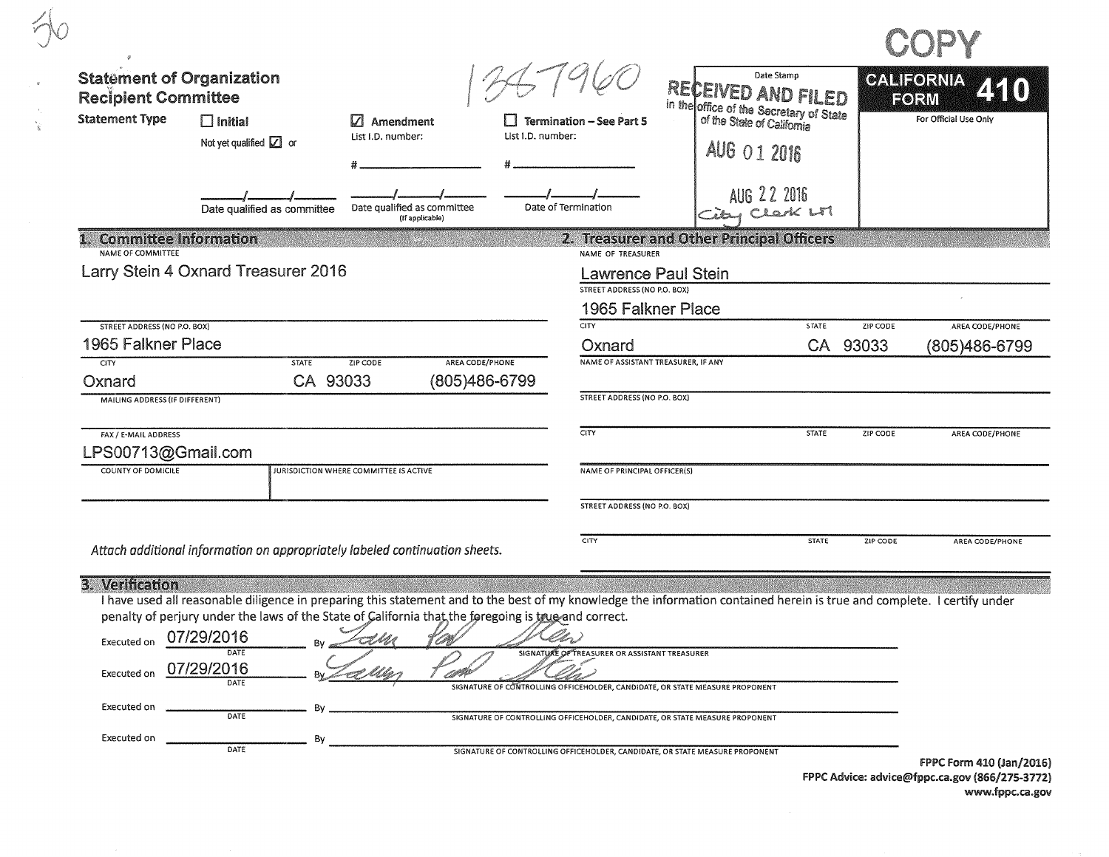| <b>Statement of Organization</b><br><b>Recipient Committee</b> |                                                                                                                                                                                                                                                                                 |                                                |                                  |                                                                                  | Date Stamp<br>RECEIVED AND FILED                                                                                                                             |              |          | GALIEORNIA<br>FORM       |
|----------------------------------------------------------------|---------------------------------------------------------------------------------------------------------------------------------------------------------------------------------------------------------------------------------------------------------------------------------|------------------------------------------------|----------------------------------|----------------------------------------------------------------------------------|--------------------------------------------------------------------------------------------------------------------------------------------------------------|--------------|----------|--------------------------|
| <b>Statement Type</b>                                          | $\Box$ Initial<br>Not yet qualified $\square$ or                                                                                                                                                                                                                                | $ $ Amendment<br>List I.D. number:             | List I.D. number:                | <b>Termination - See Part 5</b>                                                  | in the office of the Secretary of State<br>of the State of California<br>AUG 01 2016                                                                         |              |          | For Official Use Only    |
|                                                                | Date qualified as committee                                                                                                                                                                                                                                                     | Date qualified as committee<br>(If applicable) |                                  | Date of Termination                                                              | AUG 22 2016<br>Clark LTI                                                                                                                                     |              |          |                          |
| <b>Committee Information</b><br>NAME OF COMMITTEE              |                                                                                                                                                                                                                                                                                 |                                                |                                  | NAME OF TREASURER                                                                | 2. Treasurer and Other Principal Officers                                                                                                                    |              |          |                          |
|                                                                | Larry Stein 4 Oxnard Treasurer 2016                                                                                                                                                                                                                                             |                                                |                                  | <b>Lawrence Paul Stein</b><br>STREET ADDRESS (NO P.O. BOX)<br>1965 Falkner Place |                                                                                                                                                              |              |          |                          |
| <b>STREET ADDRESS (NO P.O. BOX)</b>                            |                                                                                                                                                                                                                                                                                 |                                                |                                  | <b>CITY</b>                                                                      |                                                                                                                                                              | STATE        | ZIP CODE | AREA CODE/PHONE          |
| 1965 Falkner Place                                             |                                                                                                                                                                                                                                                                                 |                                                |                                  | Oxnard                                                                           |                                                                                                                                                              |              | CA 93033 | (805)486-6799            |
| <b>CITY</b><br>Oxnard<br>MAILING ADDRESS (IF DIFFERENT)        | <b>STATE</b><br>CA 93033                                                                                                                                                                                                                                                        | ZIP CODE                                       | AREA CODE/PHONE<br>(805)486-6799 | NAME OF ASSISTANT TREASURER, IF ANY<br><b>STREET ADDRESS (NO P.O. BOX)</b>       |                                                                                                                                                              |              |          |                          |
| FAX / E-MAIL ADDRESS<br>LPS00713@Gmail.com                     |                                                                                                                                                                                                                                                                                 |                                                |                                  | CITY                                                                             |                                                                                                                                                              | <b>STATE</b> | ZIP CODE | AREA CODE/PHONE          |
| COUNTY OF DOMICILE                                             |                                                                                                                                                                                                                                                                                 | JURISDICTION WHERE COMMITTEE IS ACTIVE         |                                  | NAME OF PRINCIPAL OFFICER(S)                                                     |                                                                                                                                                              |              |          |                          |
|                                                                |                                                                                                                                                                                                                                                                                 |                                                |                                  | STREET ADDRESS (NO P.O. BOX)                                                     |                                                                                                                                                              |              |          |                          |
|                                                                | Attach additional information on appropriately labeled continuation sheets.                                                                                                                                                                                                     |                                                |                                  | CITY                                                                             |                                                                                                                                                              | <b>STATE</b> | ZIP CODE | AREA CODE/PHONE          |
| 3. Verification                                                | I have used all reasonable diligence in preparing this statement and to the best of my knowledge the information contained herein is true and complete. I certify under<br>penalty of perjury under the laws of the State of California that the foregoing is true and correct. |                                                |                                  |                                                                                  |                                                                                                                                                              |              |          |                          |
| Executed on<br>Executed on                                     | 07/29/2016<br>07/29/2016                                                                                                                                                                                                                                                        | こくべつ                                           |                                  | TREASURER OR ASSISTANT TREASURER                                                 |                                                                                                                                                              |              |          |                          |
| Executed on                                                    | DATE                                                                                                                                                                                                                                                                            |                                                |                                  |                                                                                  | SIGNATURE OF CONTROLLING OFFICEHOLDER, CANDIDATE, OR STATE MEASURE PROPONENT<br>SIGNATURE OF CONTROLLING OFFICEHOLDER, CANDIDATE, OR STATE MEASURE PROPONENT |              |          |                          |
| Executed on                                                    | Bv<br>DATE                                                                                                                                                                                                                                                                      |                                                |                                  |                                                                                  | SIGNATURE OF CONTROLLING OFFICEHOLDER, CANDIDATE, OR STATE MEASURE PROPONENT                                                                                 |              |          |                          |
|                                                                |                                                                                                                                                                                                                                                                                 |                                                |                                  |                                                                                  |                                                                                                                                                              |              |          | FPPC Form 410 (Jan/2016) |

 $\mathcal{R}$ 

ैंह

FPPC Advice: advice@fppc.ca.gov (866/275-3772) www.fppc.ca.gov